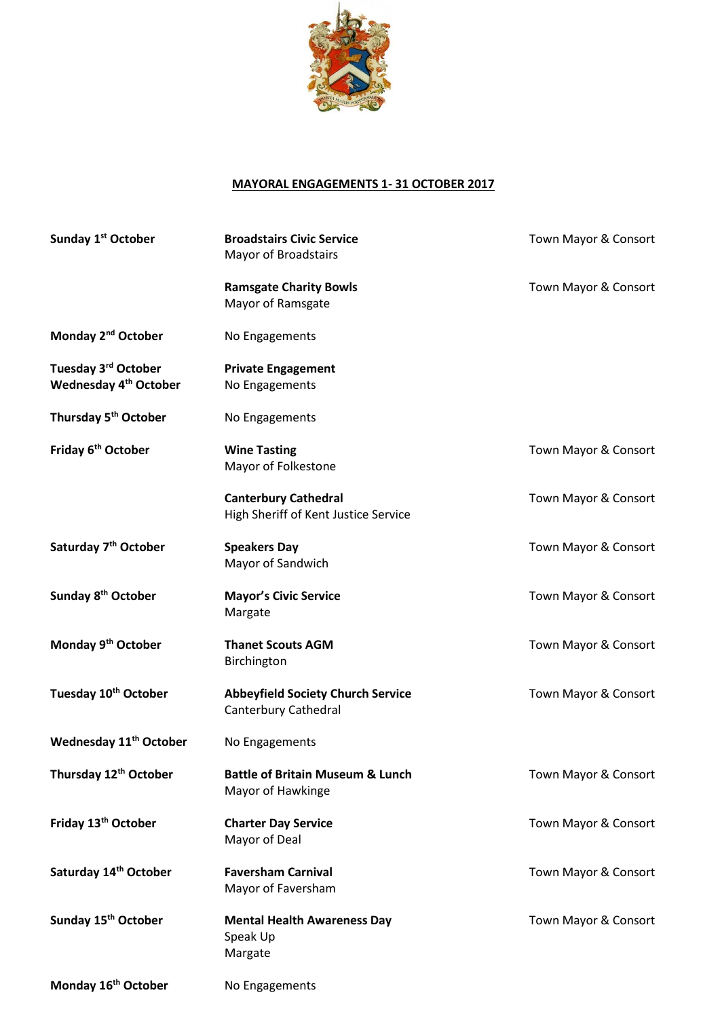

## **MAYORAL ENGAGEMENTS 1- 31 OCTOBER 2017**

| Sunday 1 <sup>st</sup> October                                       | <b>Broadstairs Civic Service</b><br><b>Mayor of Broadstairs</b>     | Town Mayor & Consort |
|----------------------------------------------------------------------|---------------------------------------------------------------------|----------------------|
|                                                                      | <b>Ramsgate Charity Bowls</b><br>Mayor of Ramsgate                  | Town Mayor & Consort |
| Monday 2 <sup>nd</sup> October                                       | No Engagements                                                      |                      |
| Tuesday 3 <sup>rd</sup> October<br>Wednesday 4 <sup>th</sup> October | <b>Private Engagement</b><br>No Engagements                         |                      |
| Thursday 5 <sup>th</sup> October                                     | No Engagements                                                      |                      |
| Friday 6 <sup>th</sup> October                                       | <b>Wine Tasting</b><br>Mayor of Folkestone                          | Town Mayor & Consort |
|                                                                      | <b>Canterbury Cathedral</b><br>High Sheriff of Kent Justice Service | Town Mayor & Consort |
| Saturday 7 <sup>th</sup> October                                     | <b>Speakers Day</b><br>Mayor of Sandwich                            | Town Mayor & Consort |
| Sunday 8 <sup>th</sup> October                                       | <b>Mayor's Civic Service</b><br>Margate                             | Town Mayor & Consort |
| Monday 9 <sup>th</sup> October                                       | <b>Thanet Scouts AGM</b><br>Birchington                             | Town Mayor & Consort |
| Tuesday 10 <sup>th</sup> October                                     | <b>Abbeyfield Society Church Service</b><br>Canterbury Cathedral    | Town Mayor & Consort |
| Wednesday 11 <sup>th</sup> October                                   | No Engagements                                                      |                      |
| Thursday 12 <sup>th</sup> October                                    | <b>Battle of Britain Museum &amp; Lunch</b><br>Mayor of Hawkinge    | Town Mayor & Consort |
| Friday 13 <sup>th</sup> October                                      | <b>Charter Day Service</b><br>Mayor of Deal                         | Town Mayor & Consort |
| Saturday 14 <sup>th</sup> October                                    | <b>Faversham Carnival</b><br>Mayor of Faversham                     | Town Mayor & Consort |
| Sunday 15 <sup>th</sup> October                                      | <b>Mental Health Awareness Day</b><br>Speak Up<br>Margate           | Town Mayor & Consort |
| Monday 16 <sup>th</sup> October                                      | No Engagements                                                      |                      |